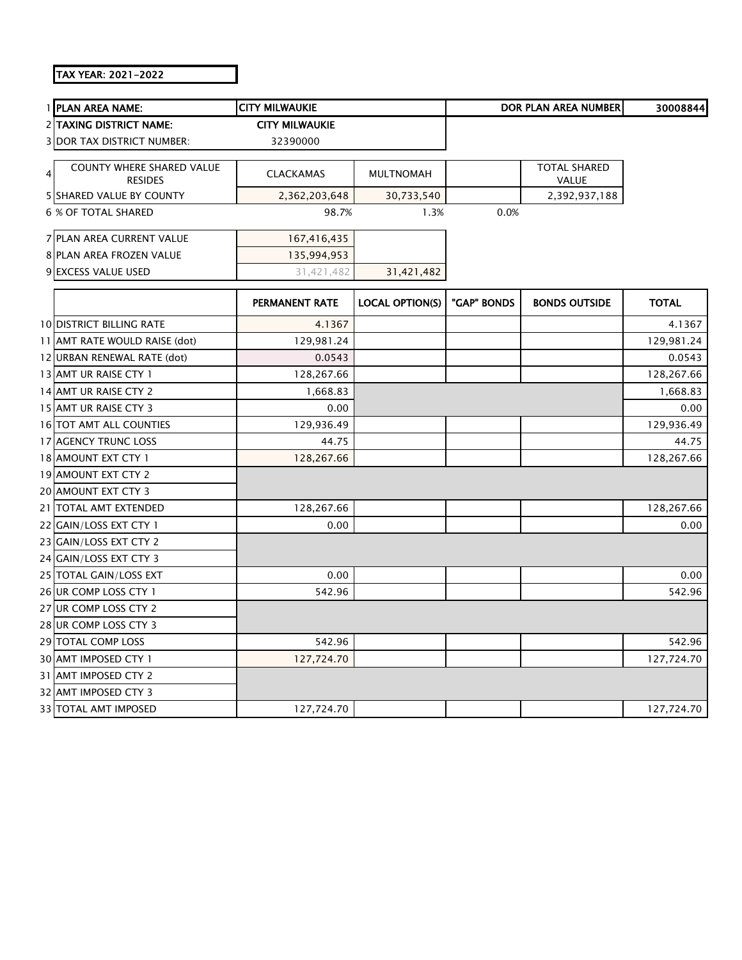## TAX YEAR: 2021-2022

| 1 PLAN AREA NAME:                                       | <b>CITY MILWAUKIE</b> |                        |             | <b>DOR PLAN AREA NUMBER</b>  | 30008844     |
|---------------------------------------------------------|-----------------------|------------------------|-------------|------------------------------|--------------|
| 2 TAXING DISTRICT NAME:                                 | <b>CITY MILWAUKIE</b> |                        |             |                              |              |
| <b>3 DOR TAX DISTRICT NUMBER:</b>                       | 32390000              |                        |             |                              |              |
| <b>COUNTY WHERE SHARED VALUE</b><br>4<br><b>RESIDES</b> | <b>CLACKAMAS</b>      | <b>MULTNOMAH</b>       |             | <b>TOTAL SHARED</b><br>VALUE |              |
| <b>5 SHARED VALUE BY COUNTY</b>                         | 2,362,203,648         | 30,733,540             |             | 2,392,937,188                |              |
| <b>6 % OF TOTAL SHARED</b>                              | 98.7%                 | 1.3%                   | 0.0%        |                              |              |
| 7 PLAN AREA CURRENT VALUE                               | 167,416,435           |                        |             |                              |              |
| 8 PLAN AREA FROZEN VALUE                                | 135,994,953           |                        |             |                              |              |
| 9 EXCESS VALUE USED                                     | 31,421,482            | 31,421,482             |             |                              |              |
|                                                         | <b>PERMANENT RATE</b> | <b>LOCAL OPTION(S)</b> | "GAP" BONDS | <b>BONDS OUTSIDE</b>         | <b>TOTAL</b> |
| <b>10 DISTRICT BILLING RATE</b>                         | 4.1367                |                        |             |                              | 4.1367       |
| 11 AMT RATE WOULD RAISE (dot)                           | 129,981.24            |                        |             |                              | 129,981.24   |
| 12 URBAN RENEWAL RATE (dot)                             | 0.0543                |                        |             |                              | 0.0543       |
| 13 AMT UR RAISE CTY 1                                   | 128,267.66            |                        |             |                              | 128,267.66   |
| 14 AMT UR RAISE CTY 2                                   | 1,668.83              |                        |             |                              | 1,668.83     |
| 15 AMT UR RAISE CTY 3                                   | 0.00                  |                        |             |                              | 0.00         |
| 16 TOT AMT ALL COUNTIES                                 | 129,936.49            |                        |             |                              | 129,936.49   |
| 17 AGENCY TRUNC LOSS                                    | 44.75                 |                        |             |                              | 44.75        |
| 18 AMOUNT EXT CTY 1                                     | 128,267.66            |                        |             |                              | 128,267.66   |
| 19 AMOUNT EXT CTY 2                                     |                       |                        |             |                              |              |
| 20 AMOUNT EXT CTY 3                                     |                       |                        |             |                              |              |
| 21 TOTAL AMT EXTENDED                                   | 128,267.66            |                        |             |                              | 128,267.66   |
| 22 GAIN/LOSS EXT CTY 1                                  | 0.00                  |                        |             |                              | 0.00         |
| 23 GAIN/LOSS EXT CTY 2                                  |                       |                        |             |                              |              |
| 24 GAIN/LOSS EXT CTY 3                                  |                       |                        |             |                              |              |
| 25 TOTAL GAIN/LOSS EXT                                  | 0.00                  |                        |             |                              | 0.00         |
| 26 UR COMP LOSS CTY 1                                   | 542.96                |                        |             |                              | 542.96       |
| 27 UR COMP LOSS CTY 2                                   |                       |                        |             |                              |              |
| 28 UR COMP LOSS CTY 3                                   |                       |                        |             |                              |              |
| 29 TOTAL COMP LOSS                                      | 542.96                |                        |             |                              | 542.96       |
| 30 AMT IMPOSED CTY 1                                    | 127,724.70            |                        |             |                              | 127,724.70   |
| 31 AMT IMPOSED CTY 2                                    |                       |                        |             |                              |              |
| 32 AMT IMPOSED CTY 3                                    |                       |                        |             |                              |              |
| <b>33 TOTAL AMT IMPOSED</b>                             | 127,724.70            |                        |             |                              | 127,724.70   |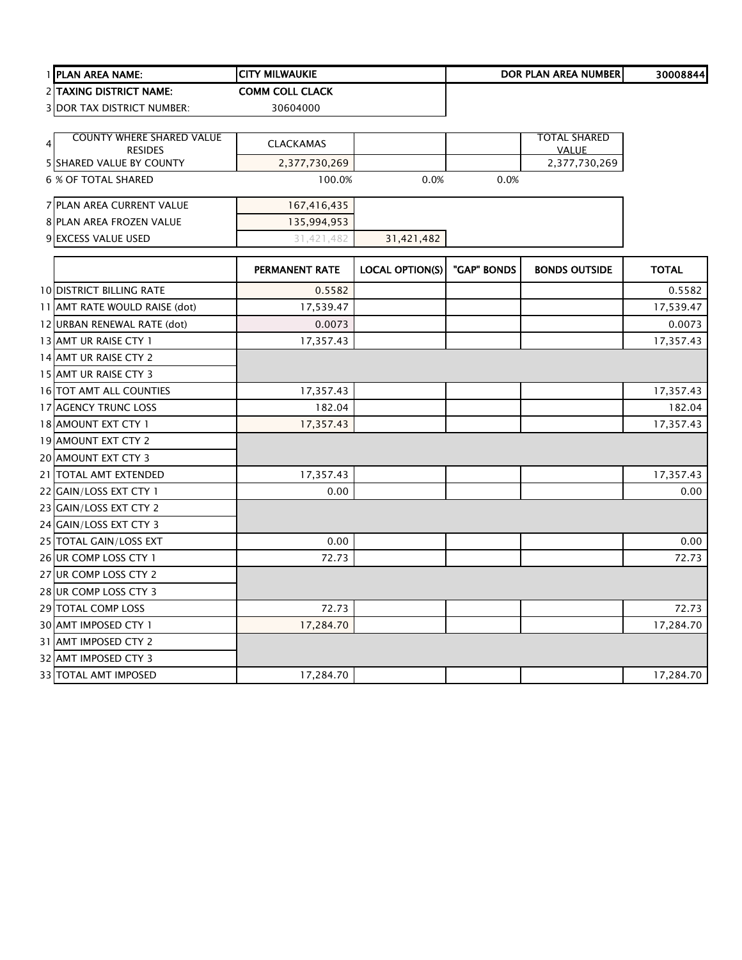| 1 PLAN AREA NAME:                          | <b>CITY MILWAUKIE</b>  |                        |             | DOR PLAN AREA NUMBER          | 30008844     |
|--------------------------------------------|------------------------|------------------------|-------------|-------------------------------|--------------|
| 2 TAXING DISTRICT NAME:                    | <b>COMM COLL CLACK</b> |                        |             |                               |              |
| 3 DOR TAX DISTRICT NUMBER:                 | 30604000               |                        |             |                               |              |
|                                            |                        |                        |             |                               |              |
| <b>COUNTY WHERE SHARED VALUE</b>           | <b>CLACKAMAS</b>       |                        |             | <b>TOTAL SHARED</b>           |              |
| <b>RESIDES</b><br>5 SHARED VALUE BY COUNTY | 2,377,730,269          |                        |             | <b>VALUE</b><br>2,377,730,269 |              |
| <b>6 % OF TOTAL SHARED</b>                 | 100.0%                 | 0.0%                   | 0.0%        |                               |              |
|                                            |                        |                        |             |                               |              |
| 7 PLAN AREA CURRENT VALUE                  | 167,416,435            |                        |             |                               |              |
| 8 PLAN AREA FROZEN VALUE                   | 135,994,953            |                        |             |                               |              |
| 9 EXCESS VALUE USED                        | 31,421,482             | 31,421,482             |             |                               |              |
|                                            |                        |                        |             |                               |              |
|                                            | PERMANENT RATE         | <b>LOCAL OPTION(S)</b> | "GAP" BONDS | <b>BONDS OUTSIDE</b>          | <b>TOTAL</b> |
| <b>10 DISTRICT BILLING RATE</b>            | 0.5582                 |                        |             |                               | 0.5582       |
| 11 AMT RATE WOULD RAISE (dot)              | 17,539.47              |                        |             |                               | 17,539.47    |
| 12 URBAN RENEWAL RATE (dot)                | 0.0073                 |                        |             |                               | 0.0073       |
| 13 AMT UR RAISE CTY 1                      | 17,357.43              |                        |             |                               | 17,357.43    |
| 14 AMT UR RAISE CTY 2                      |                        |                        |             |                               |              |
| 15 AMT UR RAISE CTY 3                      |                        |                        |             |                               |              |
| 16 TOT AMT ALL COUNTIES                    | 17,357.43              |                        |             |                               | 17,357.43    |
| 17 AGENCY TRUNC LOSS                       | 182.04                 |                        |             |                               | 182.04       |
| 18 AMOUNT EXT CTY 1                        | 17,357.43              |                        |             |                               | 17,357.43    |
| 19 AMOUNT EXT CTY 2                        |                        |                        |             |                               |              |
| 20 AMOUNT EXT CTY 3                        |                        |                        |             |                               |              |
| 21   TOTAL AMT EXTENDED                    | 17,357.43              |                        |             |                               | 17,357.43    |
| 22 GAIN/LOSS EXT CTY 1                     | 0.00                   |                        |             |                               | 0.00         |
| 23 GAIN/LOSS EXT CTY 2                     |                        |                        |             |                               |              |
| 24 GAIN/LOSS EXT CTY 3                     |                        |                        |             |                               |              |
| 25 TOTAL GAIN/LOSS EXT                     | 0.00                   |                        |             |                               | 0.00         |
| 26 UR COMP LOSS CTY 1                      | 72.73                  |                        |             |                               | 72.73        |
| 27 UR COMP LOSS CTY 2                      |                        |                        |             |                               |              |
| 28 UR COMP LOSS CTY 3                      |                        |                        |             |                               |              |
| 29 TOTAL COMP LOSS                         | 72.73                  |                        |             |                               | 72.73        |
| 30 AMT IMPOSED CTY 1                       | 17,284.70              |                        |             |                               | 17,284.70    |
| 31 AMT IMPOSED CTY 2                       |                        |                        |             |                               |              |
| 32 AMT IMPOSED CTY 3                       |                        |                        |             |                               |              |
| 33 TOTAL AMT IMPOSED                       | 17,284.70              |                        |             |                               | 17,284.70    |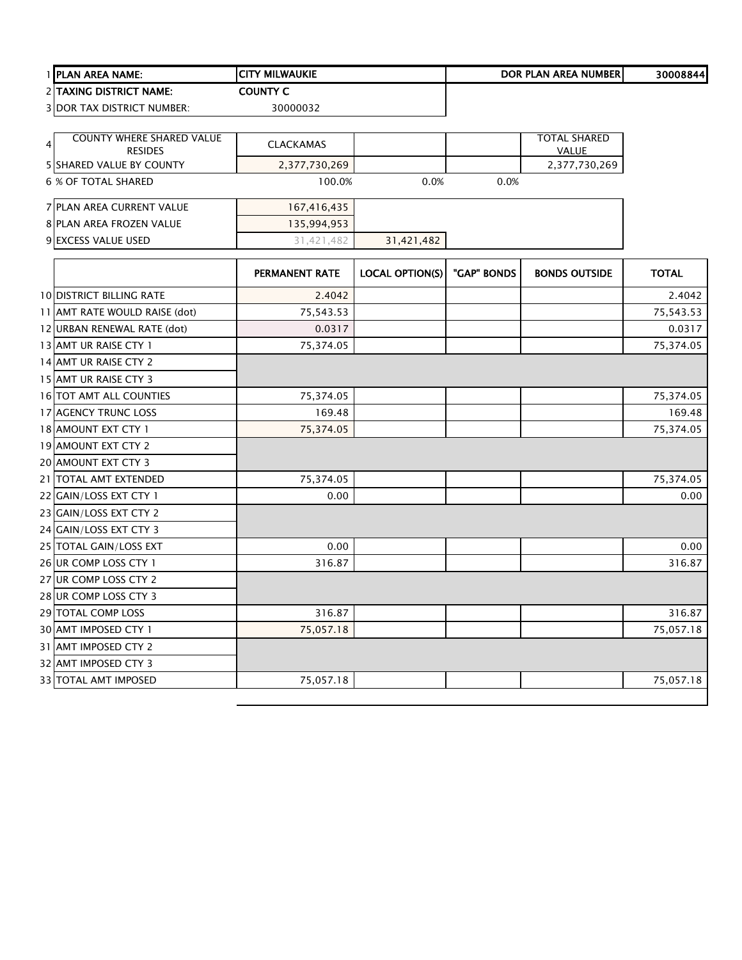| 1 PLAN AREA NAME:               | <b>CITY MILWAUKIE</b>                       |                              |                                  |                      | 30008844                                                                     |
|---------------------------------|---------------------------------------------|------------------------------|----------------------------------|----------------------|------------------------------------------------------------------------------|
| 2 TAXING DISTRICT NAME:         | <b>COUNTY C</b>                             |                              |                                  |                      |                                                                              |
| 3 DOR TAX DISTRICT NUMBER:      | 30000032                                    |                              |                                  |                      |                                                                              |
|                                 |                                             |                              |                                  |                      |                                                                              |
| 4                               | <b>CLACKAMAS</b>                            |                              |                                  |                      |                                                                              |
| <b>5 SHARED VALUE BY COUNTY</b> |                                             |                              |                                  |                      |                                                                              |
| 6 % OF TOTAL SHARED             |                                             | 0.0%                         | 0.0%                             |                      |                                                                              |
| 7 PLAN AREA CURRENT VALUE       |                                             |                              |                                  |                      |                                                                              |
| 8 PLAN AREA FROZEN VALUE        | 135,994,953                                 |                              |                                  |                      |                                                                              |
| 9 EXCESS VALUE USED             | 31,421,482                                  | 31,421,482                   |                                  |                      |                                                                              |
|                                 |                                             |                              |                                  |                      |                                                                              |
|                                 | <b>PERMANENT RATE</b>                       |                              |                                  | <b>BONDS OUTSIDE</b> | <b>TOTAL</b>                                                                 |
| <b>10 DISTRICT BILLING RATE</b> | 2.4042                                      |                              |                                  |                      | 2.4042                                                                       |
| 11 AMT RATE WOULD RAISE (dot)   | 75,543.53                                   |                              |                                  |                      | 75,543.53                                                                    |
| 12 URBAN RENEWAL RATE (dot)     | 0.0317                                      |                              |                                  |                      | 0.0317                                                                       |
| 13 AMT UR RAISE CTY 1           | 75,374.05                                   |                              |                                  |                      | 75,374.05                                                                    |
| 14 AMT UR RAISE CTY 2           |                                             |                              |                                  |                      |                                                                              |
| 15 AMT UR RAISE CTY 3           |                                             |                              |                                  |                      |                                                                              |
| 16 TOT AMT ALL COUNTIES         | 75,374.05                                   |                              |                                  |                      | 75,374.05                                                                    |
| 17 AGENCY TRUNC LOSS            | 169.48                                      |                              |                                  |                      | 169.48                                                                       |
| 18 AMOUNT EXT CTY 1             | 75,374.05                                   |                              |                                  |                      | 75,374.05                                                                    |
| 19 AMOUNT EXT CTY 2             |                                             |                              |                                  |                      |                                                                              |
| 20 AMOUNT EXT CTY 3             |                                             |                              |                                  |                      |                                                                              |
| 21 TOTAL AMT EXTENDED           | 75,374.05                                   |                              |                                  |                      | 75,374.05                                                                    |
| 22 GAIN/LOSS EXT CTY 1          | 0.00                                        |                              |                                  |                      | 0.00                                                                         |
| 23 GAIN/LOSS EXT CTY 2          |                                             |                              |                                  |                      |                                                                              |
| 24 GAIN/LOSS EXT CTY 3          |                                             |                              |                                  |                      |                                                                              |
| 25 TOTAL GAIN/LOSS EXT          | 0.00                                        |                              |                                  |                      | 0.00                                                                         |
| 26 UR COMP LOSS CTY 1           | 316.87                                      |                              |                                  |                      | 316.87                                                                       |
| 27 UR COMP LOSS CTY 2           |                                             |                              |                                  |                      |                                                                              |
| 28 UR COMP LOSS CTY 3           |                                             |                              |                                  |                      |                                                                              |
| 29 TOTAL COMP LOSS              | 316.87                                      |                              |                                  |                      | 316.87                                                                       |
| 30 AMT IMPOSED CTY 1            | 75,057.18                                   |                              |                                  |                      | 75,057.18                                                                    |
| 31 AMT IMPOSED CTY 2            |                                             |                              |                                  |                      |                                                                              |
| 32 AMT IMPOSED CTY 3            |                                             |                              |                                  |                      |                                                                              |
| 33 TOTAL AMT IMPOSED            | 75,057.18                                   |                              |                                  |                      | 75,057.18                                                                    |
|                                 | COUNTY WHERE SHARED VALUE<br><b>RESIDES</b> | 2,377,730,269<br>167,416,435 | 100.0%<br><b>LOCAL OPTION(S)</b> | "GAP" BONDS          | DOR PLAN AREA NUMBER<br><b>TOTAL SHARED</b><br><b>VALUE</b><br>2,377,730,269 |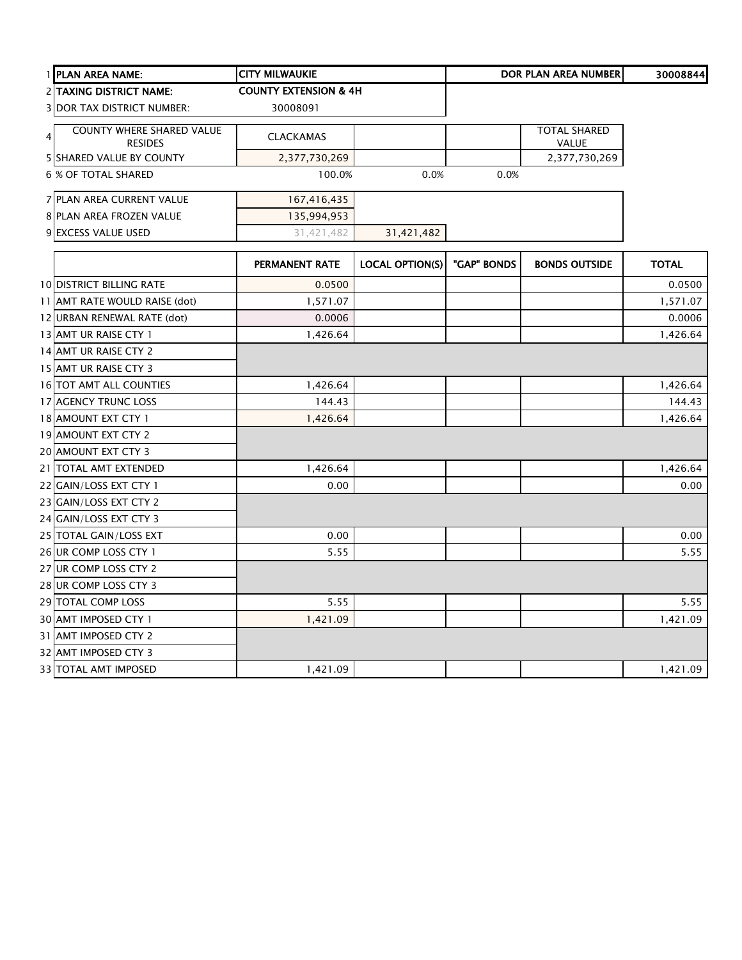| 1 PLAN AREA NAME:                 | <b>CITY MILWAUKIE</b>            |                        |             | <b>DOR PLAN AREA NUMBER</b> | 30008844     |
|-----------------------------------|----------------------------------|------------------------|-------------|-----------------------------|--------------|
| 2 TAXING DISTRICT NAME:           | <b>COUNTY EXTENSION &amp; 4H</b> |                        |             |                             |              |
| <b>3 DOR TAX DISTRICT NUMBER:</b> | 30008091                         |                        |             |                             |              |
| <b>COUNTY WHERE SHARED VALUE</b>  |                                  |                        |             | <b>TOTAL SHARED</b>         |              |
| $\overline{4}$<br><b>RESIDES</b>  | <b>CLACKAMAS</b>                 |                        |             | VALUE                       |              |
| <b>5 SHARED VALUE BY COUNTY</b>   | 2,377,730,269                    |                        |             | 2,377,730,269               |              |
| <b>6 % OF TOTAL SHARED</b>        | 100.0%                           | 0.0%                   | 0.0%        |                             |              |
| 7 PLAN AREA CURRENT VALUE         | 167,416,435                      |                        |             |                             |              |
| 8 PLAN AREA FROZEN VALUE          | 135,994,953                      |                        |             |                             |              |
| 9 EXCESS VALUE USED               | 31,421,482                       | 31,421,482             |             |                             |              |
|                                   | PERMANENT RATE                   | <b>LOCAL OPTION(S)</b> | "GAP" BONDS | <b>BONDS OUTSIDE</b>        | <b>TOTAL</b> |
| <b>10 DISTRICT BILLING RATE</b>   | 0.0500                           |                        |             |                             | 0.0500       |
| 11 AMT RATE WOULD RAISE (dot)     | 1,571.07                         |                        |             |                             | 1,571.07     |
| 12 URBAN RENEWAL RATE (dot)       | 0.0006                           |                        |             |                             | 0.0006       |
| 13 AMT UR RAISE CTY 1             | 1,426.64                         |                        |             |                             | 1,426.64     |
| 14 AMT UR RAISE CTY 2             |                                  |                        |             |                             |              |
| 15 AMT UR RAISE CTY 3             |                                  |                        |             |                             |              |
| 16 TOT AMT ALL COUNTIES           | 1,426.64                         |                        |             |                             | 1,426.64     |
| 17 AGENCY TRUNC LOSS              | 144.43                           |                        |             |                             | 144.43       |
| 18 AMOUNT EXT CTY 1               | 1,426.64                         |                        |             |                             | 1,426.64     |
| 19 AMOUNT EXT CTY 2               |                                  |                        |             |                             |              |
| 20 AMOUNT EXT CTY 3               |                                  |                        |             |                             |              |
| 21 TOTAL AMT EXTENDED             | 1,426.64                         |                        |             |                             | 1,426.64     |
| 22 GAIN/LOSS EXT CTY 1            | 0.00                             |                        |             |                             | 0.00         |
| 23 GAIN/LOSS EXT CTY 2            |                                  |                        |             |                             |              |
| 24 GAIN/LOSS EXT CTY 3            |                                  |                        |             |                             |              |
| 25 TOTAL GAIN/LOSS EXT            | 0.00                             |                        |             |                             | 0.00         |
| 26 UR COMP LOSS CTY 1             | 5.55                             |                        |             |                             | 5.55         |
| 27 UR COMP LOSS CTY 2             |                                  |                        |             |                             |              |
| 28 UR COMP LOSS CTY 3             |                                  |                        |             |                             |              |
| 29 TOTAL COMP LOSS                | 5.55                             |                        |             |                             | 5.55         |
| 30 AMT IMPOSED CTY 1              | 1,421.09                         |                        |             |                             | 1,421.09     |
| 31 AMT IMPOSED CTY 2              |                                  |                        |             |                             |              |
| 32 AMT IMPOSED CTY 3              |                                  |                        |             |                             |              |
| 33 TOTAL AMT IMPOSED              | 1,421.09                         |                        |             |                             | 1,421.09     |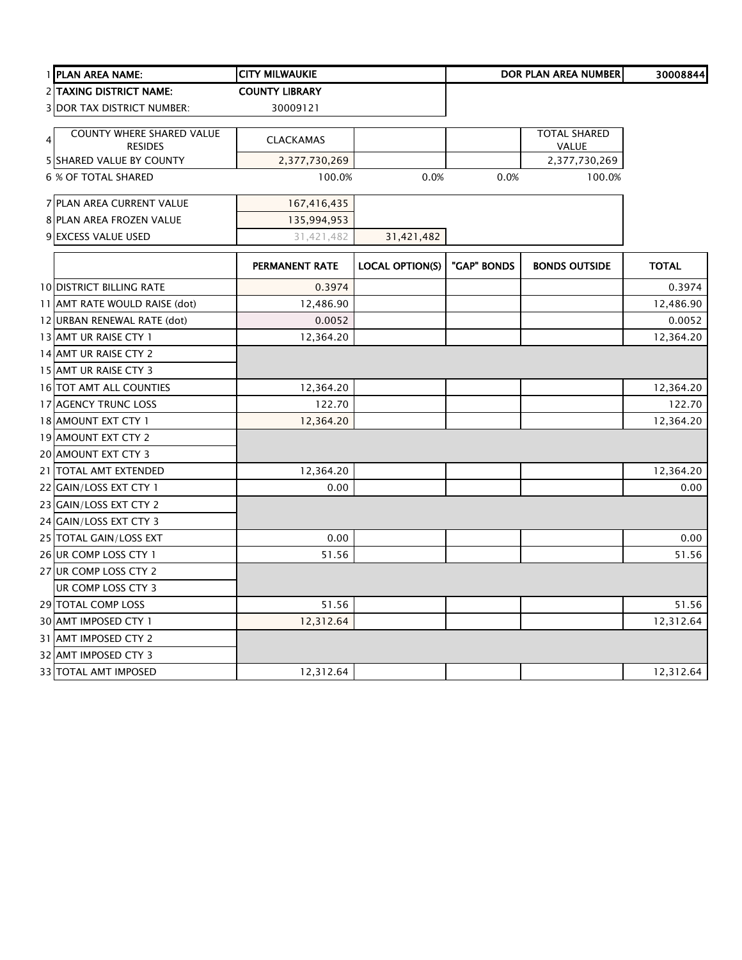|   | 1 PLAN AREA NAME:                           | <b>CITY MILWAUKIE</b> |                        |             | <b>DOR PLAN AREA NUMBER</b>  | 30008844     |
|---|---------------------------------------------|-----------------------|------------------------|-------------|------------------------------|--------------|
|   | <b>2 TAXING DISTRICT NAME:</b>              | <b>COUNTY LIBRARY</b> |                        |             |                              |              |
|   | <b>3 DOR TAX DISTRICT NUMBER:</b>           | 30009121              |                        |             |                              |              |
| 4 | COUNTY WHERE SHARED VALUE<br><b>RESIDES</b> | <b>CLACKAMAS</b>      |                        |             | <b>TOTAL SHARED</b><br>VALUE |              |
|   | <b>5 SHARED VALUE BY COUNTY</b>             | 2,377,730,269         |                        |             | 2,377,730,269                |              |
|   | <b>6 % OF TOTAL SHARED</b>                  | 100.0%                | 0.0%                   | 0.0%        | 100.0%                       |              |
|   | 7 PLAN AREA CURRENT VALUE                   | 167,416,435           |                        |             |                              |              |
|   | 8 PLAN AREA FROZEN VALUE                    | 135,994,953           |                        |             |                              |              |
|   | 9 EXCESS VALUE USED                         | 31,421,482            | 31,421,482             |             |                              |              |
|   |                                             | <b>PERMANENT RATE</b> | <b>LOCAL OPTION(S)</b> | "GAP" BONDS | <b>BONDS OUTSIDE</b>         | <b>TOTAL</b> |
|   | <b>10 DISTRICT BILLING RATE</b>             | 0.3974                |                        |             |                              | 0.3974       |
|   | 11 AMT RATE WOULD RAISE (dot)               | 12,486.90             |                        |             |                              | 12,486.90    |
|   | 12 URBAN RENEWAL RATE (dot)                 | 0.0052                |                        |             |                              | 0.0052       |
|   | 13 AMT UR RAISE CTY 1                       | 12,364.20             |                        |             |                              | 12,364.20    |
|   | 14 AMT UR RAISE CTY 2                       |                       |                        |             |                              |              |
|   | 15 AMT UR RAISE CTY 3                       |                       |                        |             |                              |              |
|   | 16 TOT AMT ALL COUNTIES                     | 12,364.20             |                        |             |                              | 12,364.20    |
|   | 17 AGENCY TRUNC LOSS                        | 122.70                |                        |             |                              | 122.70       |
|   | 18 AMOUNT EXT CTY 1                         | 12,364.20             |                        |             |                              | 12,364.20    |
|   | 19 AMOUNT EXT CTY 2                         |                       |                        |             |                              |              |
|   | 20 AMOUNT EXT CTY 3                         |                       |                        |             |                              |              |
|   | 21 TOTAL AMT EXTENDED                       | 12,364.20             |                        |             |                              | 12,364.20    |
|   | 22 GAIN/LOSS EXT CTY 1                      | 0.00                  |                        |             |                              | 0.00         |
|   | 23 GAIN/LOSS EXT CTY 2                      |                       |                        |             |                              |              |
|   | 24 GAIN/LOSS EXT CTY 3                      |                       |                        |             |                              |              |
|   | 25 TOTAL GAIN/LOSS EXT                      | 0.00                  |                        |             |                              | 0.00         |
|   | 26 UR COMP LOSS CTY 1                       | 51.56                 |                        |             |                              | 51.56        |
|   | 27 UR COMP LOSS CTY 2                       |                       |                        |             |                              |              |
|   | UR COMP LOSS CTY 3                          |                       |                        |             |                              |              |
|   | 29 TOTAL COMP LOSS                          | 51.56                 |                        |             |                              | 51.56        |
|   | 30 AMT IMPOSED CTY 1                        | 12,312.64             |                        |             |                              | 12,312.64    |
|   | 31 AMT IMPOSED CTY 2                        |                       |                        |             |                              |              |
|   | 32 AMT IMPOSED CTY 3                        |                       |                        |             |                              |              |
|   | 33 TOTAL AMT IMPOSED                        | 12,312.64             |                        |             |                              | 12,312.64    |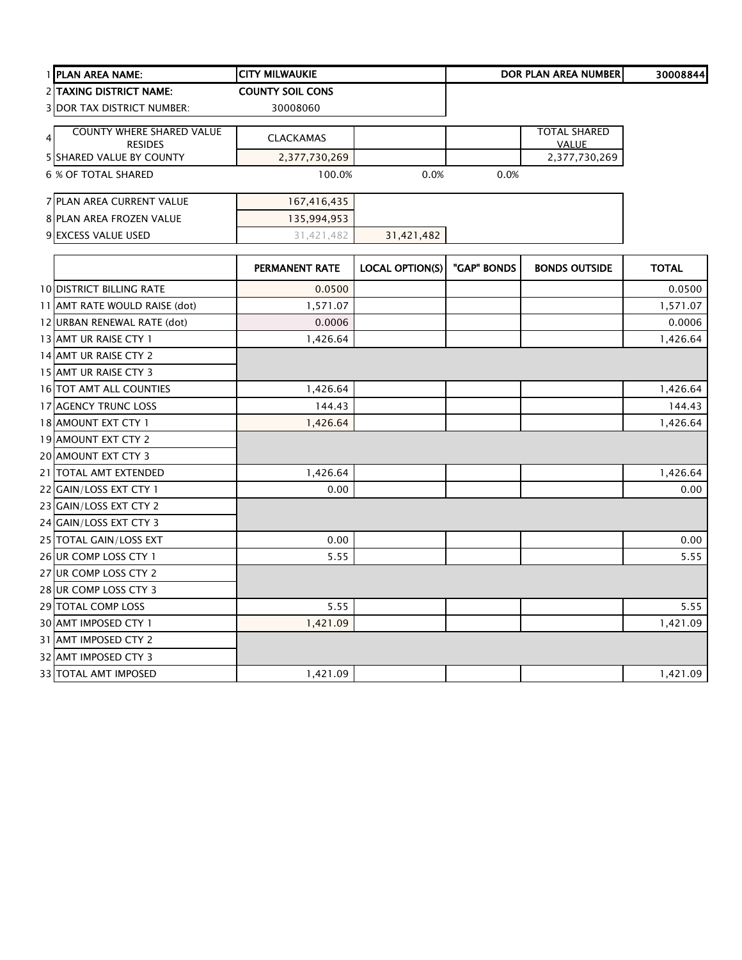| 1 PLAN AREA NAME:               |                                                    | <b>CITY MILWAUKIE</b>   |                        |             | DOR PLAN AREA NUMBER                | 30008844     |
|---------------------------------|----------------------------------------------------|-------------------------|------------------------|-------------|-------------------------------------|--------------|
|                                 | 2 TAXING DISTRICT NAME:                            | <b>COUNTY SOIL CONS</b> |                        |             |                                     |              |
|                                 | <b>3 DOR TAX DISTRICT NUMBER:</b>                  | 30008060                |                        |             |                                     |              |
| $\overline{4}$                  | <b>COUNTY WHERE SHARED VALUE</b><br><b>RESIDES</b> | <b>CLACKAMAS</b>        |                        |             | <b>TOTAL SHARED</b><br><b>VALUE</b> |              |
|                                 | 5 SHARED VALUE BY COUNTY                           | 2,377,730,269           |                        |             | 2,377,730,269                       |              |
| 6 % OF TOTAL SHARED             |                                                    | 100.0%                  | 0.0%                   | 0.0%        |                                     |              |
|                                 | 7 PLAN AREA CURRENT VALUE                          | 167,416,435             |                        |             |                                     |              |
|                                 | 8 PLAN AREA FROZEN VALUE                           | 135,994,953             |                        |             |                                     |              |
| 9 EXCESS VALUE USED             |                                                    | 31,421,482              | 31,421,482             |             |                                     |              |
|                                 |                                                    | PERMANENT RATE          | <b>LOCAL OPTION(S)</b> | "GAP" BONDS | <b>BONDS OUTSIDE</b>                | <b>TOTAL</b> |
| <b>10 DISTRICT BILLING RATE</b> |                                                    | 0.0500                  |                        |             |                                     | 0.0500       |
|                                 | 11 AMT RATE WOULD RAISE (dot)                      | 1,571.07                |                        |             |                                     | 1,571.07     |
|                                 | 12 URBAN RENEWAL RATE (dot)                        | 0.0006                  |                        |             |                                     | 0.0006       |
| 13 AMT UR RAISE CTY 1           |                                                    | 1,426.64                |                        |             |                                     | 1,426.64     |
| 14 AMT UR RAISE CTY 2           |                                                    |                         |                        |             |                                     |              |
| 15 AMT UR RAISE CTY 3           |                                                    |                         |                        |             |                                     |              |
| 16 TOT AMT ALL COUNTIES         |                                                    | 1,426.64                |                        |             |                                     | 1,426.64     |
| 17 AGENCY TRUNC LOSS            |                                                    | 144.43                  |                        |             |                                     | 144.43       |
| 18 AMOUNT EXT CTY 1             |                                                    | 1,426.64                |                        |             |                                     | 1,426.64     |
| 19 AMOUNT EXT CTY 2             |                                                    |                         |                        |             |                                     |              |
| 20 AMOUNT EXT CTY 3             |                                                    |                         |                        |             |                                     |              |
| 21 TOTAL AMT EXTENDED           |                                                    | 1,426.64                |                        |             |                                     | 1,426.64     |
| 22 GAIN/LOSS EXT CTY 1          |                                                    | 0.00                    |                        |             |                                     | 0.00         |
| 23 GAIN/LOSS EXT CTY 2          |                                                    |                         |                        |             |                                     |              |
| 24 GAIN/LOSS EXT CTY 3          |                                                    |                         |                        |             |                                     |              |
| 25 TOTAL GAIN/LOSS EXT          |                                                    | 0.00                    |                        |             |                                     | 0.00         |
| 26 UR COMP LOSS CTY 1           |                                                    | 5.55                    |                        |             |                                     | 5.55         |
| 27 UR COMP LOSS CTY 2           |                                                    |                         |                        |             |                                     |              |
| 28 UR COMP LOSS CTY 3           |                                                    |                         |                        |             |                                     |              |
| 29 TOTAL COMP LOSS              |                                                    | 5.55                    |                        |             |                                     | 5.55         |
| 30 AMT IMPOSED CTY 1            |                                                    | 1,421.09                |                        |             |                                     | 1,421.09     |
| 31 AMT IMPOSED CTY 2            |                                                    |                         |                        |             |                                     |              |
| 32 AMT IMPOSED CTY 3            |                                                    |                         |                        |             |                                     |              |
| 33 TOTAL AMT IMPOSED            |                                                    | 1,421.09                |                        |             |                                     | 1,421.09     |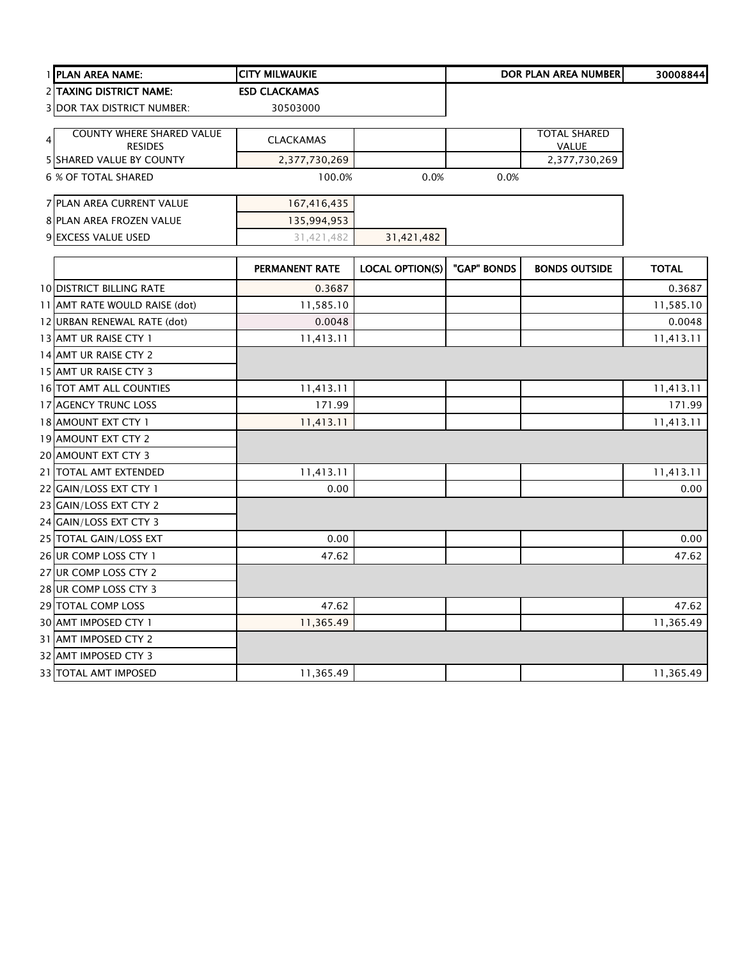| 1 PLAN AREA NAME:                 | <b>CITY MILWAUKIE</b> |                        |             | DOR PLAN AREA NUMBER | 30008844     |
|-----------------------------------|-----------------------|------------------------|-------------|----------------------|--------------|
| 2 TAXING DISTRICT NAME:           | <b>ESD CLACKAMAS</b>  |                        |             |                      |              |
| <b>3 DOR TAX DISTRICT NUMBER:</b> | 30503000              |                        |             |                      |              |
| <b>COUNTY WHERE SHARED VALUE</b>  |                       |                        |             | <b>TOTAL SHARED</b>  |              |
| <b>RESIDES</b>                    | <b>CLACKAMAS</b>      |                        |             | <b>VALUE</b>         |              |
| 5 SHARED VALUE BY COUNTY          | 2,377,730,269         |                        |             | 2,377,730,269        |              |
| <b>6 % OF TOTAL SHARED</b>        | 100.0%                | 0.0%                   | 0.0%        |                      |              |
| 7 PLAN AREA CURRENT VALUE         | 167,416,435           |                        |             |                      |              |
| 8 PLAN AREA FROZEN VALUE          | 135,994,953           |                        |             |                      |              |
| 9 EXCESS VALUE USED               | 31,421,482            | 31,421,482             |             |                      |              |
|                                   | PERMANENT RATE        | <b>LOCAL OPTION(S)</b> | "GAP" BONDS | <b>BONDS OUTSIDE</b> | <b>TOTAL</b> |
| <b>10 DISTRICT BILLING RATE</b>   | 0.3687                |                        |             |                      | 0.3687       |
| 11 AMT RATE WOULD RAISE (dot)     | 11,585.10             |                        |             |                      | 11,585.10    |
| 12 URBAN RENEWAL RATE (dot)       | 0.0048                |                        |             |                      | 0.0048       |
| 13 AMT UR RAISE CTY 1             | 11,413.11             |                        |             |                      | 11,413.11    |
| 14 AMT UR RAISE CTY 2             |                       |                        |             |                      |              |
| 15 AMT UR RAISE CTY 3             |                       |                        |             |                      |              |
| 16 TOT AMT ALL COUNTIES           | 11,413.11             |                        |             |                      | 11,413.11    |
| 17 AGENCY TRUNC LOSS              | 171.99                |                        |             |                      | 171.99       |
| 18 AMOUNT EXT CTY 1               | 11,413.11             |                        |             |                      | 11,413.11    |
| 19 AMOUNT EXT CTY 2               |                       |                        |             |                      |              |
| 20 AMOUNT EXT CTY 3               |                       |                        |             |                      |              |
| 21 TOTAL AMT EXTENDED             | 11,413.11             |                        |             |                      | 11,413.11    |
| 22 GAIN/LOSS EXT CTY 1            | 0.00                  |                        |             |                      | 0.00         |
| 23 GAIN/LOSS EXT CTY 2            |                       |                        |             |                      |              |
| 24 GAIN/LOSS EXT CTY 3            |                       |                        |             |                      |              |
| 25 TOTAL GAIN/LOSS EXT            | 0.00                  |                        |             |                      | 0.00         |
| 26 UR COMP LOSS CTY 1             | 47.62                 |                        |             |                      | 47.62        |
| 27 UR COMP LOSS CTY 2             |                       |                        |             |                      |              |
| 28 UR COMP LOSS CTY 3             |                       |                        |             |                      |              |
| 29 TOTAL COMP LOSS                | 47.62                 |                        |             |                      | 47.62        |
| 30 AMT IMPOSED CTY 1              | 11,365.49             |                        |             |                      | 11,365.49    |
| 31 AMT IMPOSED CTY 2              |                       |                        |             |                      |              |
| 32 AMT IMPOSED CTY 3              |                       |                        |             |                      |              |
| 33 TOTAL AMT IMPOSED              | 11,365.49             |                        |             |                      | 11,365.49    |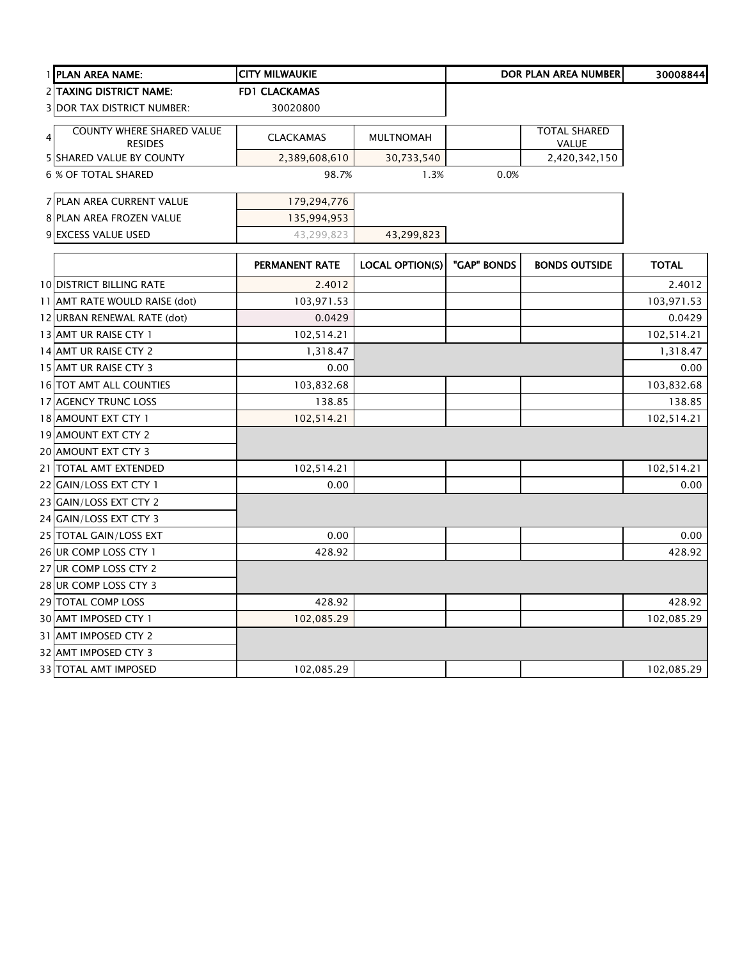|   | 1 PLAN AREA NAME:                                  | <b>CITY MILWAUKIE</b> |                        |             | <b>DOR PLAN AREA NUMBER</b>  | 30008844     |
|---|----------------------------------------------------|-----------------------|------------------------|-------------|------------------------------|--------------|
|   | <b>2 TAXING DISTRICT NAME:</b>                     | <b>FD1 CLACKAMAS</b>  |                        |             |                              |              |
|   | <b>3 DOR TAX DISTRICT NUMBER:</b>                  | 30020800              |                        |             |                              |              |
| 4 | <b>COUNTY WHERE SHARED VALUE</b><br><b>RESIDES</b> | <b>CLACKAMAS</b>      | <b>MULTNOMAH</b>       |             | <b>TOTAL SHARED</b><br>VALUE |              |
|   | 5 SHARED VALUE BY COUNTY                           | 2,389,608,610         | 30,733,540             |             | 2,420,342,150                |              |
|   | 6 % OF TOTAL SHARED                                | 98.7%                 | 1.3%                   | 0.0%        |                              |              |
|   | 7 PLAN AREA CURRENT VALUE                          | 179,294,776           |                        |             |                              |              |
|   | 8 PLAN AREA FROZEN VALUE                           | 135,994,953           |                        |             |                              |              |
|   | 9 EXCESS VALUE USED                                | 43,299,823            | 43,299,823             |             |                              |              |
|   |                                                    | PERMANENT RATE        | <b>LOCAL OPTION(S)</b> | "GAP" BONDS | <b>BONDS OUTSIDE</b>         | <b>TOTAL</b> |
|   | <b>10 DISTRICT BILLING RATE</b>                    | 2.4012                |                        |             |                              | 2.4012       |
|   | 11 AMT RATE WOULD RAISE (dot)                      | 103,971.53            |                        |             |                              | 103,971.53   |
|   | 12 URBAN RENEWAL RATE (dot)                        | 0.0429                |                        |             |                              | 0.0429       |
|   | 13 AMT UR RAISE CTY 1                              | 102,514.21            |                        |             |                              | 102,514.21   |
|   | 14 AMT UR RAISE CTY 2                              | 1,318.47              |                        |             |                              | 1,318.47     |
|   | 15 AMT UR RAISE CTY 3                              | 0.00                  |                        |             |                              | 0.00         |
|   | 16 TOT AMT ALL COUNTIES                            | 103,832.68            |                        |             |                              | 103,832.68   |
|   | 17 AGENCY TRUNC LOSS                               | 138.85                |                        |             |                              | 138.85       |
|   | 18 AMOUNT EXT CTY 1                                | 102,514.21            |                        |             |                              | 102,514.21   |
|   | 19 AMOUNT EXT CTY 2                                |                       |                        |             |                              |              |
|   | 20 AMOUNT EXT CTY 3                                |                       |                        |             |                              |              |
|   | 21 TOTAL AMT EXTENDED                              | 102,514.21            |                        |             |                              | 102,514.21   |
|   | 22 GAIN/LOSS EXT CTY 1                             | 0.00                  |                        |             |                              | 0.00         |
|   | 23 GAIN/LOSS EXT CTY 2                             |                       |                        |             |                              |              |
|   | 24 GAIN/LOSS EXT CTY 3                             |                       |                        |             |                              |              |
|   | 25 TOTAL GAIN/LOSS EXT                             | 0.00                  |                        |             |                              | 0.00         |
|   | 26 UR COMP LOSS CTY 1                              | 428.92                |                        |             |                              | 428.92       |
|   | 27 UR COMP LOSS CTY 2                              |                       |                        |             |                              |              |
|   | 28 UR COMP LOSS CTY 3                              |                       |                        |             |                              |              |
|   | 29 TOTAL COMP LOSS                                 | 428.92                |                        |             |                              | 428.92       |
|   | 30 AMT IMPOSED CTY 1                               | 102,085.29            |                        |             |                              | 102,085.29   |
|   | 31 AMT IMPOSED CTY 2                               |                       |                        |             |                              |              |
|   | 32 AMT IMPOSED CTY 3                               |                       |                        |             |                              |              |
|   | <b>33 TOTAL AMT IMPOSED</b>                        | 102,085.29            |                        |             |                              | 102,085.29   |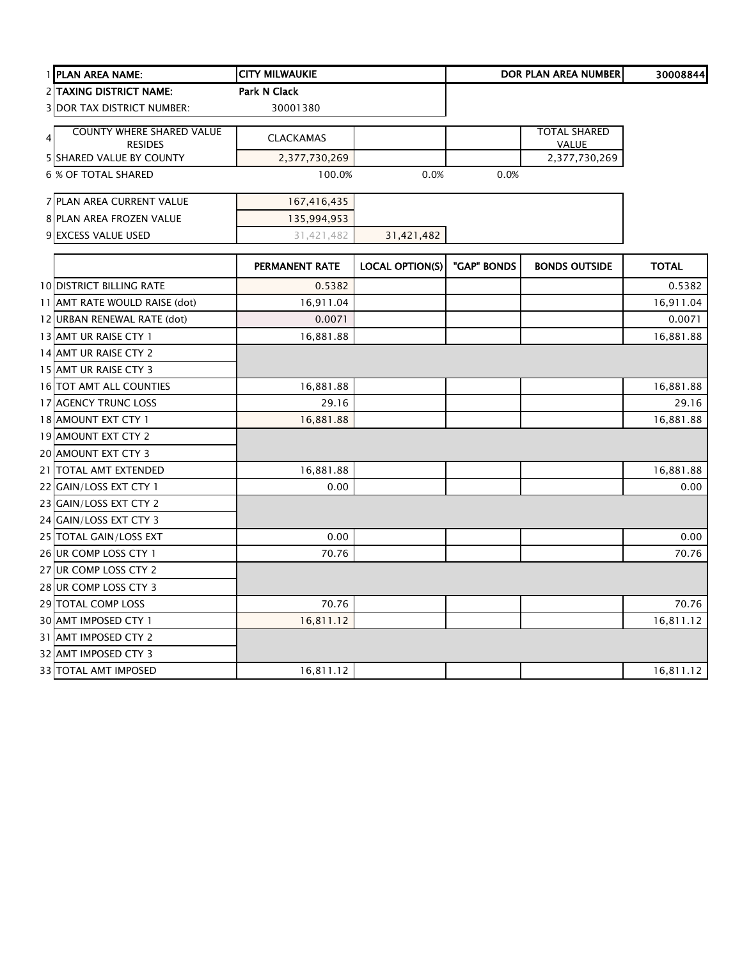| 1 PLAN AREA NAME:                 | <b>CITY MILWAUKIE</b> |                        |             | <b>DOR PLAN AREA NUMBER</b> | 30008844     |
|-----------------------------------|-----------------------|------------------------|-------------|-----------------------------|--------------|
| 2 TAXING DISTRICT NAME:           | Park N Clack          |                        |             |                             |              |
| <b>3 DOR TAX DISTRICT NUMBER:</b> | 30001380              |                        |             |                             |              |
| <b>COUNTY WHERE SHARED VALUE</b>  |                       |                        |             | <b>TOTAL SHARED</b>         |              |
| 4<br><b>RESIDES</b>               | <b>CLACKAMAS</b>      |                        |             | VALUE                       |              |
| <b>5 SHARED VALUE BY COUNTY</b>   | 2,377,730,269         |                        |             | 2,377,730,269               |              |
| <b>6 % OF TOTAL SHARED</b>        | 100.0%                | 0.0%                   | 0.0%        |                             |              |
| 7 PLAN AREA CURRENT VALUE         | 167,416,435           |                        |             |                             |              |
| 8 PLAN AREA FROZEN VALUE          | 135,994,953           |                        |             |                             |              |
| 9 EXCESS VALUE USED               | 31,421,482            | 31,421,482             |             |                             |              |
|                                   | <b>PERMANENT RATE</b> | <b>LOCAL OPTION(S)</b> | "GAP" BONDS | <b>BONDS OUTSIDE</b>        | <b>TOTAL</b> |
| <b>10 DISTRICT BILLING RATE</b>   | 0.5382                |                        |             |                             | 0.5382       |
| 11 AMT RATE WOULD RAISE (dot)     | 16,911.04             |                        |             |                             | 16,911.04    |
| 12 URBAN RENEWAL RATE (dot)       | 0.0071                |                        |             |                             | 0.0071       |
| 13 AMT UR RAISE CTY 1             | 16,881.88             |                        |             |                             | 16,881.88    |
| 14 AMT UR RAISE CTY 2             |                       |                        |             |                             |              |
| 15 AMT UR RAISE CTY 3             |                       |                        |             |                             |              |
| 16 TOT AMT ALL COUNTIES           | 16,881.88             |                        |             |                             | 16,881.88    |
| 17 AGENCY TRUNC LOSS              | 29.16                 |                        |             |                             | 29.16        |
| 18 AMOUNT EXT CTY 1               | 16,881.88             |                        |             |                             | 16,881.88    |
| 19 AMOUNT EXT CTY 2               |                       |                        |             |                             |              |
| 20 AMOUNT EXT CTY 3               |                       |                        |             |                             |              |
| 21 TOTAL AMT EXTENDED             | 16,881.88             |                        |             |                             | 16,881.88    |
| 22 GAIN/LOSS EXT CTY 1            | 0.00                  |                        |             |                             | 0.00         |
| 23 GAIN/LOSS EXT CTY 2            |                       |                        |             |                             |              |
| 24 GAIN/LOSS EXT CTY 3            |                       |                        |             |                             |              |
| 25 TOTAL GAIN/LOSS EXT            | 0.00                  |                        |             |                             | 0.00         |
| 26 UR COMP LOSS CTY 1             | 70.76                 |                        |             |                             | 70.76        |
| 27 UR COMP LOSS CTY 2             |                       |                        |             |                             |              |
| 28 UR COMP LOSS CTY 3             |                       |                        |             |                             |              |
| 29 TOTAL COMP LOSS                | 70.76                 |                        |             |                             | 70.76        |
| 30 AMT IMPOSED CTY 1              | 16,811.12             |                        |             |                             | 16,811.12    |
| 31 AMT IMPOSED CTY 2              |                       |                        |             |                             |              |
| 32 AMT IMPOSED CTY 3              |                       |                        |             |                             |              |
| 33 TOTAL AMT IMPOSED              | 16,811.12             |                        |             |                             | 16,811.12    |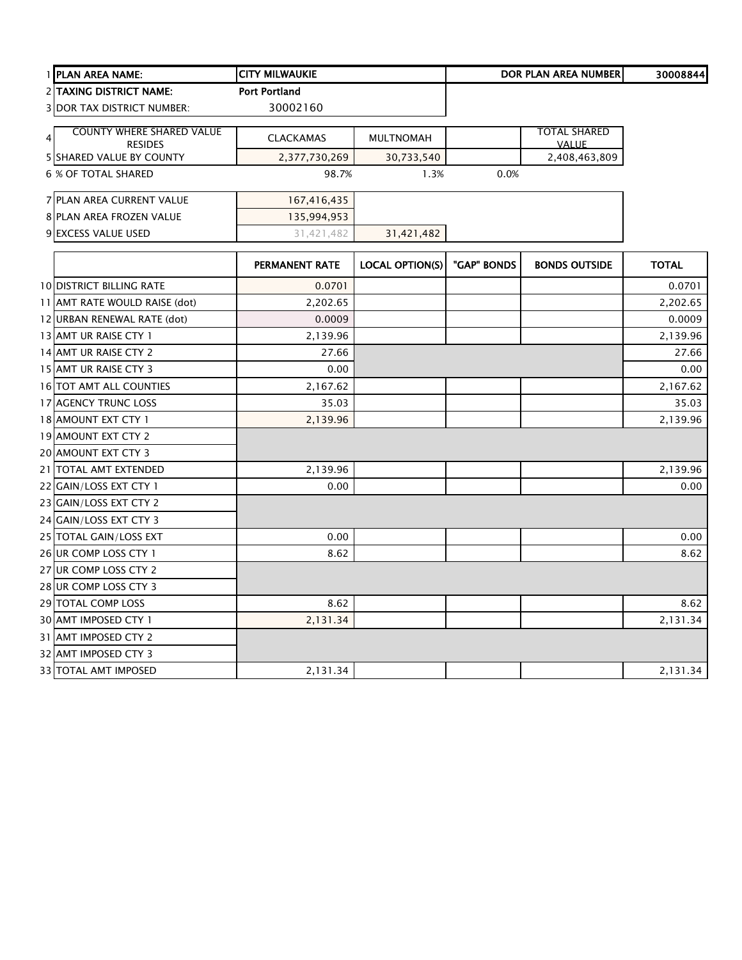| 1 PLAN AREA NAME:                                  | <b>CITY MILWAUKIE</b> |                        |             | <b>DOR PLAN AREA NUMBER</b> | 30008844     |
|----------------------------------------------------|-----------------------|------------------------|-------------|-----------------------------|--------------|
| 2 TAXING DISTRICT NAME:                            | <b>Port Portland</b>  |                        |             |                             |              |
| <b>3 DOR TAX DISTRICT NUMBER:</b>                  | 30002160              |                        |             |                             |              |
| <b>COUNTY WHERE SHARED VALUE</b><br>$\overline{4}$ |                       |                        |             | TOTAL SHARED                |              |
| <b>RESIDES</b>                                     | <b>CLACKAMAS</b>      | <b>MULTNOMAH</b>       |             | <b>VALUE</b>                |              |
| <b>5 SHARED VALUE BY COUNTY</b>                    | 2,377,730,269         | 30,733,540             |             | 2,408,463,809               |              |
| <b>6 % OF TOTAL SHARED</b>                         | 98.7%                 | 1.3%                   | 0.0%        |                             |              |
| 7 PLAN AREA CURRENT VALUE                          | 167,416,435           |                        |             |                             |              |
| 8 PLAN AREA FROZEN VALUE                           | 135,994,953           |                        |             |                             |              |
| 9 EXCESS VALUE USED                                | 31,421,482            | 31,421,482             |             |                             |              |
|                                                    | PERMANENT RATE        | <b>LOCAL OPTION(S)</b> | "GAP" BONDS | <b>BONDS OUTSIDE</b>        | <b>TOTAL</b> |
| <b>10 DISTRICT BILLING RATE</b>                    | 0.0701                |                        |             |                             | 0.0701       |
| 11 AMT RATE WOULD RAISE (dot)                      | 2,202.65              |                        |             |                             | 2,202.65     |
| 12 URBAN RENEWAL RATE (dot)                        | 0.0009                |                        |             |                             | 0.0009       |
| 13 AMT UR RAISE CTY 1                              | 2,139.96              |                        |             |                             | 2,139.96     |
| 14 AMT UR RAISE CTY 2                              | 27.66                 |                        |             |                             | 27.66        |
| 15 AMT UR RAISE CTY 3                              | 0.00                  |                        |             |                             | 0.00         |
| 16 TOT AMT ALL COUNTIES                            | 2,167.62              |                        |             |                             | 2,167.62     |
| 17 AGENCY TRUNC LOSS                               | 35.03                 |                        |             |                             | 35.03        |
| 18 AMOUNT EXT CTY 1                                | 2,139.96              |                        |             |                             | 2,139.96     |
| 19 AMOUNT EXT CTY 2                                |                       |                        |             |                             |              |
| 20 AMOUNT EXT CTY 3                                |                       |                        |             |                             |              |
| 21 TOTAL AMT EXTENDED                              | 2,139.96              |                        |             |                             | 2,139.96     |
| 22 GAIN/LOSS EXT CTY 1                             | 0.00                  |                        |             |                             | 0.00         |
| 23 GAIN/LOSS EXT CTY 2                             |                       |                        |             |                             |              |
| 24 GAIN/LOSS EXT CTY 3                             |                       |                        |             |                             |              |
| 25 TOTAL GAIN/LOSS EXT                             | 0.00                  |                        |             |                             | 0.00         |
| 26 UR COMP LOSS CTY 1                              | 8.62                  |                        |             |                             | 8.62         |
| 27 UR COMP LOSS CTY 2                              |                       |                        |             |                             |              |
| 28 UR COMP LOSS CTY 3                              |                       |                        |             |                             |              |
| 29 TOTAL COMP LOSS                                 | 8.62                  |                        |             |                             | 8.62         |
| 30 AMT IMPOSED CTY 1                               | 2,131.34              |                        |             |                             | 2,131.34     |
| 31 AMT IMPOSED CTY 2                               |                       |                        |             |                             |              |
| 32 AMT IMPOSED CTY 3                               |                       |                        |             |                             |              |
| 33 TOTAL AMT IMPOSED                               | 2,131.34              |                        |             |                             | 2,131.34     |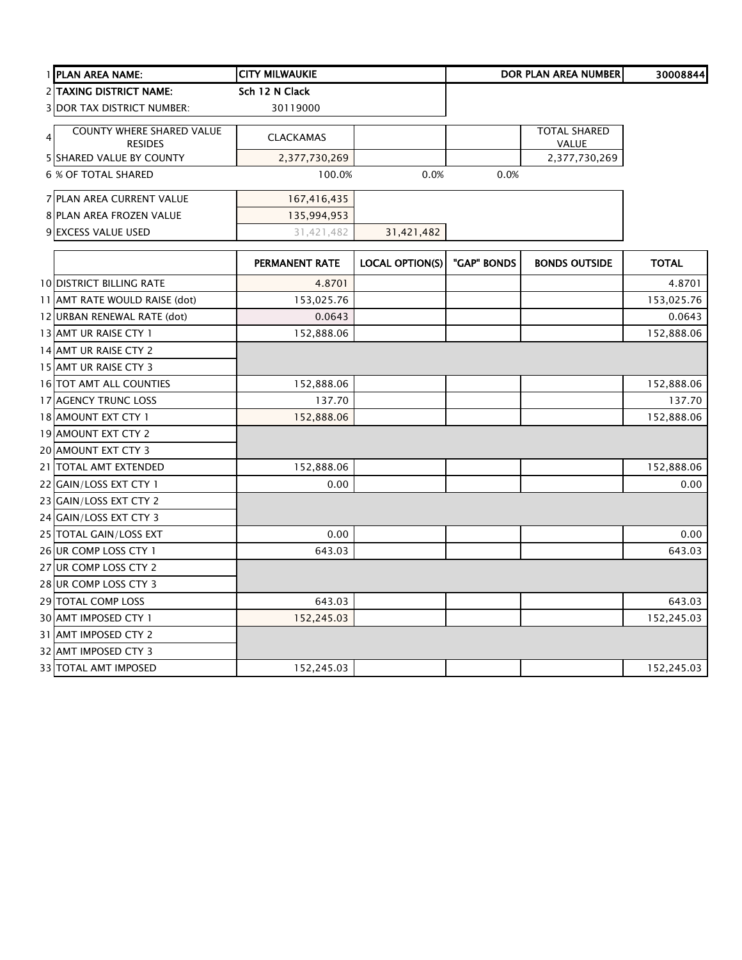| 1 PLAN AREA NAME:                                             | <b>CITY MILWAUKIE</b> |                        |             | DOR PLAN AREA NUMBER         | 30008844     |
|---------------------------------------------------------------|-----------------------|------------------------|-------------|------------------------------|--------------|
| 2 TAXING DISTRICT NAME:                                       | Sch 12 N Clack        |                        |             |                              |              |
| <b>3 DOR TAX DISTRICT NUMBER:</b>                             | 30119000              |                        |             |                              |              |
| COUNTY WHERE SHARED VALUE<br>$\overline{4}$<br><b>RESIDES</b> | <b>CLACKAMAS</b>      |                        |             | <b>TOTAL SHARED</b><br>VALUE |              |
| <b>5 SHARED VALUE BY COUNTY</b>                               | 2,377,730,269         |                        |             | 2,377,730,269                |              |
| <b>6 % OF TOTAL SHARED</b>                                    | 100.0%                | 0.0%                   | 0.0%        |                              |              |
| 7 PLAN AREA CURRENT VALUE                                     | 167,416,435           |                        |             |                              |              |
| 8 PLAN AREA FROZEN VALUE                                      | 135,994,953           |                        |             |                              |              |
| 9 EXCESS VALUE USED                                           | 31,421,482            | 31,421,482             |             |                              |              |
|                                                               | PERMANENT RATE        | <b>LOCAL OPTION(S)</b> | "GAP" BONDS | <b>BONDS OUTSIDE</b>         | <b>TOTAL</b> |
| <b>10 DISTRICT BILLING RATE</b>                               | 4.8701                |                        |             |                              | 4.8701       |
| 11 AMT RATE WOULD RAISE (dot)                                 | 153,025.76            |                        |             |                              | 153,025.76   |
| 12 URBAN RENEWAL RATE (dot)                                   | 0.0643                |                        |             |                              | 0.0643       |
| 13 AMT UR RAISE CTY 1                                         | 152,888.06            |                        |             |                              | 152,888.06   |
| 14 AMT UR RAISE CTY 2                                         |                       |                        |             |                              |              |
| 15 AMT UR RAISE CTY 3                                         |                       |                        |             |                              |              |
| 16 TOT AMT ALL COUNTIES                                       | 152,888.06            |                        |             |                              | 152,888.06   |
| 17 AGENCY TRUNC LOSS                                          | 137.70                |                        |             |                              | 137.70       |
| 18 AMOUNT EXT CTY 1                                           | 152,888.06            |                        |             |                              | 152,888.06   |
| 19 AMOUNT EXT CTY 2                                           |                       |                        |             |                              |              |
| 20 AMOUNT EXT CTY 3                                           |                       |                        |             |                              |              |
| 21 TOTAL AMT EXTENDED                                         | 152,888.06            |                        |             |                              | 152,888.06   |
| 22 GAIN/LOSS EXT CTY 1                                        | 0.00                  |                        |             |                              | 0.00         |
| 23 GAIN/LOSS EXT CTY 2                                        |                       |                        |             |                              |              |
| 24 GAIN/LOSS EXT CTY 3                                        |                       |                        |             |                              |              |
| 25 TOTAL GAIN/LOSS EXT                                        | 0.00                  |                        |             |                              | 0.00         |
| 26 UR COMP LOSS CTY 1                                         | 643.03                |                        |             |                              | 643.03       |
| 27 UR COMP LOSS CTY 2                                         |                       |                        |             |                              |              |
| 28 UR COMP LOSS CTY 3                                         |                       |                        |             |                              |              |
| 29 TOTAL COMP LOSS                                            | 643.03                |                        |             |                              | 643.03       |
| 30 AMT IMPOSED CTY 1                                          | 152,245.03            |                        |             |                              | 152,245.03   |
| 31 AMT IMPOSED CTY 2                                          |                       |                        |             |                              |              |
| 32 AMT IMPOSED CTY 3                                          |                       |                        |             |                              |              |
| 33 TOTAL AMT IMPOSED                                          | 152,245.03            |                        |             |                              | 152,245.03   |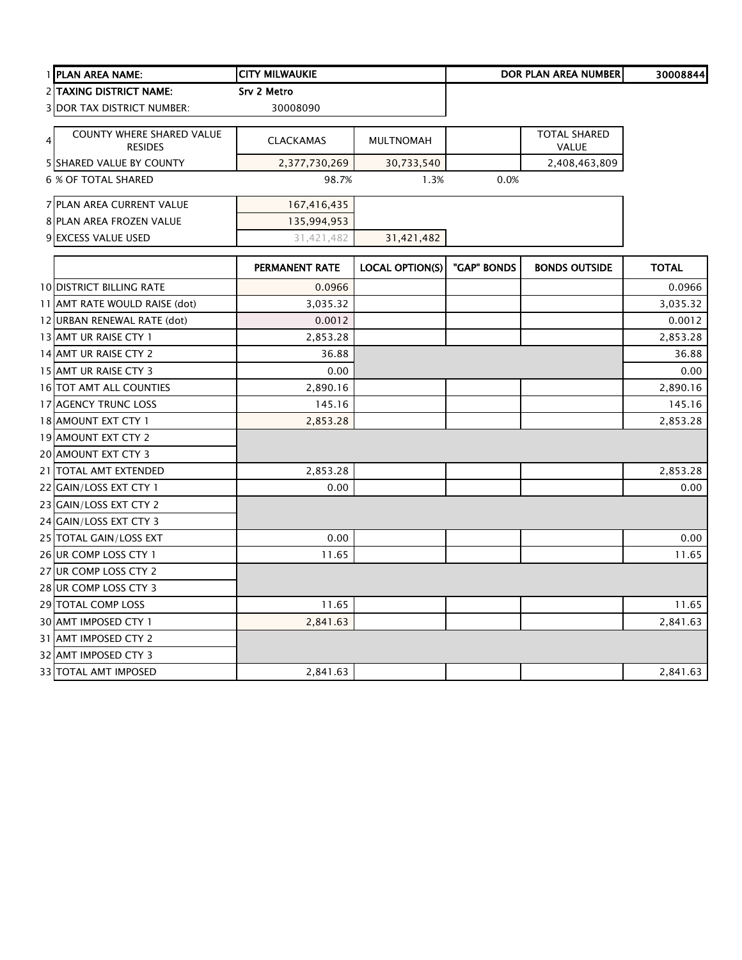|   | 1 PLAN AREA NAME:                           | <b>CITY MILWAUKIE</b> |                        |             | <b>DOR PLAN AREA NUMBER</b>  | 30008844     |
|---|---------------------------------------------|-----------------------|------------------------|-------------|------------------------------|--------------|
|   | 2 TAXING DISTRICT NAME:                     | Srv 2 Metro           |                        |             |                              |              |
|   | <b>3 DOR TAX DISTRICT NUMBER:</b>           | 30008090              |                        |             |                              |              |
| 4 | COUNTY WHERE SHARED VALUE<br><b>RESIDES</b> | <b>CLACKAMAS</b>      | <b>MULTNOMAH</b>       |             | <b>TOTAL SHARED</b><br>VALUE |              |
|   | 5 SHARED VALUE BY COUNTY                    | 2,377,730,269         | 30,733,540             |             | 2,408,463,809                |              |
|   | <b>6 % OF TOTAL SHARED</b>                  | 98.7%                 | 1.3%                   | 0.0%        |                              |              |
|   | 7 PLAN AREA CURRENT VALUE                   | 167,416,435           |                        |             |                              |              |
|   | 8 PLAN AREA FROZEN VALUE                    | 135,994,953           |                        |             |                              |              |
|   | 9 EXCESS VALUE USED                         | 31,421,482            | 31,421,482             |             |                              |              |
|   |                                             | PERMANENT RATE        | <b>LOCAL OPTION(S)</b> | "GAP" BONDS | <b>BONDS OUTSIDE</b>         | <b>TOTAL</b> |
|   | <b>10 DISTRICT BILLING RATE</b>             | 0.0966                |                        |             |                              | 0.0966       |
|   | 11 AMT RATE WOULD RAISE (dot)               | 3,035.32              |                        |             |                              | 3,035.32     |
|   | 12 URBAN RENEWAL RATE (dot)                 | 0.0012                |                        |             |                              | 0.0012       |
|   | 13 AMT UR RAISE CTY 1                       | 2,853.28              |                        |             |                              | 2,853.28     |
|   | 14 AMT UR RAISE CTY 2                       | 36.88                 |                        |             |                              | 36.88        |
|   | 15 AMT UR RAISE CTY 3                       | 0.00                  |                        |             |                              | 0.00         |
|   | 16 TOT AMT ALL COUNTIES                     | 2,890.16              |                        |             |                              | 2,890.16     |
|   | 17 AGENCY TRUNC LOSS                        | 145.16                |                        |             |                              | 145.16       |
|   | 18 AMOUNT EXT CTY 1                         | 2,853.28              |                        |             |                              | 2,853.28     |
|   | 19 AMOUNT EXT CTY 2                         |                       |                        |             |                              |              |
|   | 20 AMOUNT EXT CTY 3                         |                       |                        |             |                              |              |
|   | 21 TOTAL AMT EXTENDED                       | 2,853.28              |                        |             |                              | 2,853.28     |
|   | 22 GAIN/LOSS EXT CTY 1                      | 0.00                  |                        |             |                              | 0.00         |
|   | 23 GAIN/LOSS EXT CTY 2                      |                       |                        |             |                              |              |
|   | 24 GAIN/LOSS EXT CTY 3                      |                       |                        |             |                              |              |
|   | 25 TOTAL GAIN/LOSS EXT                      | 0.00                  |                        |             |                              | 0.00         |
|   | 26 UR COMP LOSS CTY 1                       | 11.65                 |                        |             |                              | 11.65        |
|   | 27 UR COMP LOSS CTY 2                       |                       |                        |             |                              |              |
|   | 28 UR COMP LOSS CTY 3                       |                       |                        |             |                              |              |
|   | 29 TOTAL COMP LOSS                          | 11.65                 |                        |             |                              | 11.65        |
|   | 30 AMT IMPOSED CTY 1                        | 2,841.63              |                        |             |                              | 2,841.63     |
|   | 31 AMT IMPOSED CTY 2                        |                       |                        |             |                              |              |
|   | 32 AMT IMPOSED CTY 3                        |                       |                        |             |                              |              |
|   | 33 TOTAL AMT IMPOSED                        | 2,841.63              |                        |             |                              | 2,841.63     |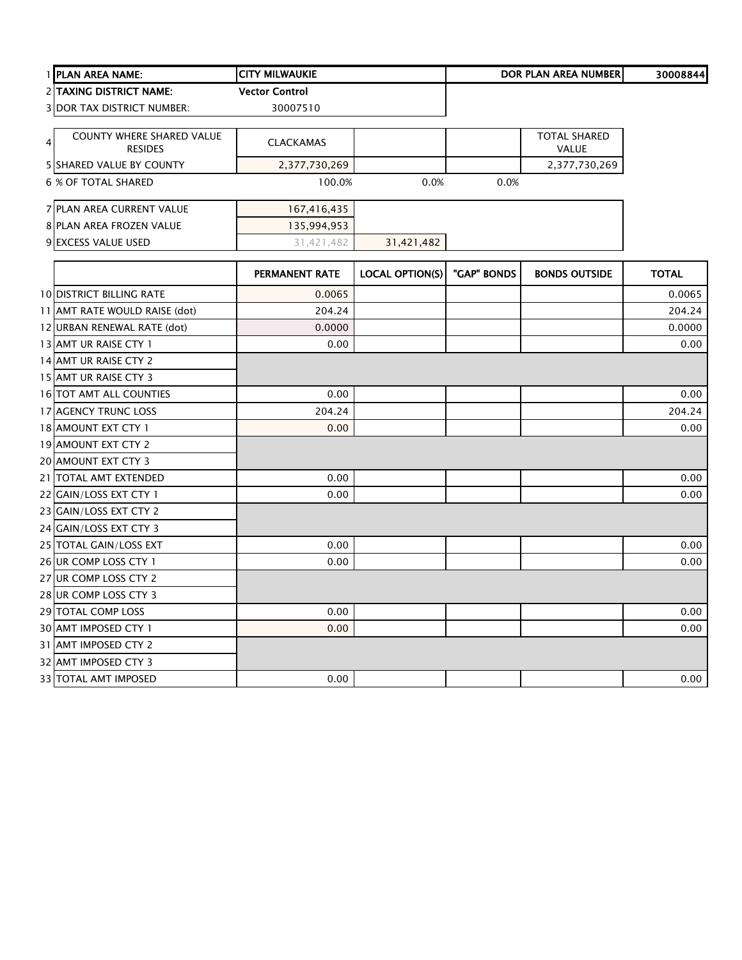| 1 PLAN AREA NAME:                                | <b>CITY MILWAUKIE</b> |                        | <b>DOR PLAN AREA NUMBER</b> |                                     | 30008844     |
|--------------------------------------------------|-----------------------|------------------------|-----------------------------|-------------------------------------|--------------|
| 2 TAXING DISTRICT NAME:                          | <b>Vector Control</b> |                        |                             |                                     |              |
| <b>3 DOR TAX DISTRICT NUMBER:</b>                | 30007510              |                        |                             |                                     |              |
| COUNTY WHERE SHARED VALUE<br>4<br><b>RESIDES</b> | <b>CLACKAMAS</b>      |                        |                             | <b>TOTAL SHARED</b><br><b>VALUE</b> |              |
| 5 SHARED VALUE BY COUNTY                         | 2,377,730,269         |                        |                             | 2,377,730,269                       |              |
| <b>6 % OF TOTAL SHARED</b>                       | 100.0%                | 0.0%                   | 0.0%                        |                                     |              |
| 7 PLAN AREA CURRENT VALUE                        | 167,416,435           |                        |                             |                                     |              |
| 8 PLAN AREA FROZEN VALUE                         | 135,994,953           |                        |                             |                                     |              |
| 9 EXCESS VALUE USED                              | 31,421,482            | 31,421,482             |                             |                                     |              |
|                                                  | PERMANENT RATE        | <b>LOCAL OPTION(S)</b> | "GAP" BONDS                 | <b>BONDS OUTSIDE</b>                | <b>TOTAL</b> |
| <b>10 DISTRICT BILLING RATE</b>                  | 0.0065                |                        |                             |                                     | 0.0065       |
| 11 AMT RATE WOULD RAISE (dot)                    | 204.24                |                        |                             |                                     | 204.24       |
| 12 URBAN RENEWAL RATE (dot)                      | 0.0000                |                        |                             |                                     | 0.0000       |
| 13 AMT UR RAISE CTY 1                            | 0.00                  |                        |                             |                                     | 0.00         |
| 14 AMT UR RAISE CTY 2                            |                       |                        |                             |                                     |              |
| 15 AMT UR RAISE CTY 3                            |                       |                        |                             |                                     |              |
| 16 TOT AMT ALL COUNTIES                          | 0.00                  |                        |                             |                                     | 0.00         |
| 17 AGENCY TRUNC LOSS                             | 204.24                |                        |                             |                                     | 204.24       |
| 18 AMOUNT EXT CTY 1                              | 0.00                  |                        |                             |                                     | 0.00         |
| 19 AMOUNT EXT CTY 2                              |                       |                        |                             |                                     |              |
| 20 AMOUNT EXT CTY 3                              |                       |                        |                             |                                     |              |
| 21 TOTAL AMT EXTENDED                            | 0.00                  |                        |                             |                                     | 0.00         |
| 22 GAIN/LOSS EXT CTY 1                           | 0.00                  |                        |                             |                                     | 0.00         |
| 23 GAIN/LOSS EXT CTY 2                           |                       |                        |                             |                                     |              |
| 24 GAIN/LOSS EXT CTY 3                           |                       |                        |                             |                                     |              |
| 25 TOTAL GAIN/LOSS EXT                           | 0.00                  |                        |                             |                                     | 0.00         |
| 26 UR COMP LOSS CTY 1                            | 0.00                  |                        |                             |                                     | 0.00         |
| 27 UR COMP LOSS CTY 2                            |                       |                        |                             |                                     |              |
| 28 UR COMP LOSS CTY 3                            |                       |                        |                             |                                     |              |
| 29 TOTAL COMP LOSS                               | 0.00                  |                        |                             |                                     | 0.00         |
| 30 AMT IMPOSED CTY 1                             | 0.00                  |                        |                             |                                     | 0.00         |
| 31 AMT IMPOSED CTY 2                             |                       |                        |                             |                                     |              |
| 32 AMT IMPOSED CTY 3                             |                       |                        |                             |                                     |              |
| 33 TOTAL AMT IMPOSED                             | 0.00                  |                        |                             |                                     | 0.00         |